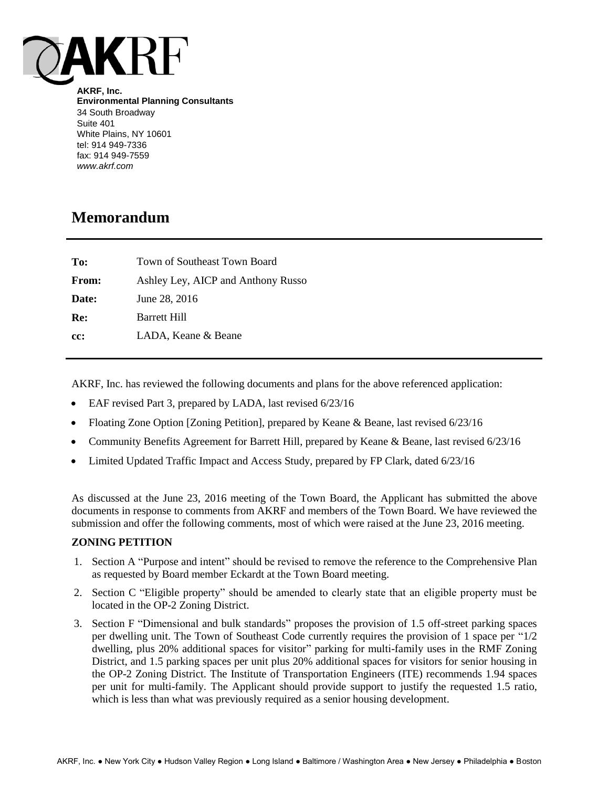

**AKRF, Inc. Environmental Planning Consultants** 34 South Broadway Suite 401 White Plains, NY 10601 tel: 914 949-7336 fax: 914 949-7559 *www.akrf.com*

# **Memorandum**

| To:          | Town of Southeast Town Board       |
|--------------|------------------------------------|
| <b>From:</b> | Ashley Ley, AICP and Anthony Russo |
| Date:        | June 28, 2016                      |
| Re:          | Barrett Hill                       |
| cc:          | LADA, Keane & Beane                |
|              |                                    |

AKRF, Inc. has reviewed the following documents and plans for the above referenced application:

- EAF revised Part 3, prepared by LADA, last revised 6/23/16
- Floating Zone Option [Zoning Petition], prepared by Keane & Beane, last revised 6/23/16
- Community Benefits Agreement for Barrett Hill, prepared by Keane & Beane, last revised 6/23/16
- Limited Updated Traffic Impact and Access Study, prepared by FP Clark, dated 6/23/16

As discussed at the June 23, 2016 meeting of the Town Board, the Applicant has submitted the above documents in response to comments from AKRF and members of the Town Board. We have reviewed the submission and offer the following comments, most of which were raised at the June 23, 2016 meeting.

## **ZONING PETITION**

- 1. Section A "Purpose and intent" should be revised to remove the reference to the Comprehensive Plan as requested by Board member Eckardt at the Town Board meeting.
- 2. Section C "Eligible property" should be amended to clearly state that an eligible property must be located in the OP-2 Zoning District.
- 3. Section F "Dimensional and bulk standards" proposes the provision of 1.5 off-street parking spaces per dwelling unit. The Town of Southeast Code currently requires the provision of 1 space per "1/2 dwelling, plus 20% additional spaces for visitor" parking for multi-family uses in the RMF Zoning District, and 1.5 parking spaces per unit plus 20% additional spaces for visitors for senior housing in the OP-2 Zoning District. The Institute of Transportation Engineers (ITE) recommends 1.94 spaces per unit for multi-family. The Applicant should provide support to justify the requested 1.5 ratio, which is less than what was previously required as a senior housing development.